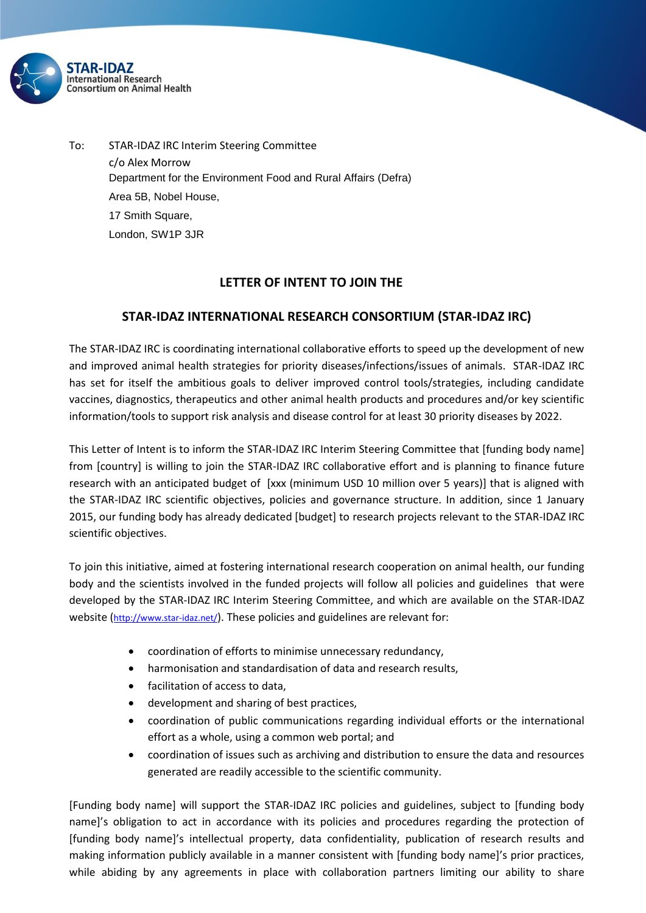

To: STAR-IDAZ IRC Interim Steering Committee c/o Alex Morrow Department for the Environment Food and Rural Affairs (Defra) Area 5B, Nobel House, 17 Smith Square, London, SW1P 3JR

## **LETTER OF INTENT TO JOIN THE**

## **STAR-IDAZ INTERNATIONAL RESEARCH CONSORTIUM (STAR-IDAZ IRC)**

The STAR-IDAZ IRC is coordinating international collaborative efforts to speed up the development of new and improved animal health strategies for priority diseases/infections/issues of animals. STAR-IDAZ IRC has set for itself the ambitious goals to deliver improved control tools/strategies, including candidate vaccines, diagnostics, therapeutics and other animal health products and procedures and/or key scientific information/tools to support risk analysis and disease control for at least 30 priority diseases by 2022.

This Letter of Intent is to inform the STAR-IDAZ IRC Interim Steering Committee that [funding body name] from [country] is willing to join the STAR-IDAZ IRC collaborative effort and is planning to finance future research with an anticipated budget of [xxx (minimum USD 10 million over 5 years)] that is aligned with the STAR-IDAZ IRC scientific objectives, policies and governance structure. In addition, since 1 January 2015, our funding body has already dedicated [budget] to research projects relevant to the STAR-IDAZ IRC scientific objectives.

To join this initiative, aimed at fostering international research cooperation on animal health, our funding body and the scientists involved in the funded projects will follow all policies and guidelines that were developed by the STAR-IDAZ IRC Interim Steering Committee, and which are available on the STAR-IDAZ website (<http://www.star-idaz.net/>). These policies and guidelines are relevant for:

- coordination of efforts to minimise unnecessary redundancy,
- harmonisation and standardisation of data and research results,
- facilitation of access to data,
- development and sharing of best practices,
- coordination of public communications regarding individual efforts or the international effort as a whole, using a common web portal; and
- coordination of issues such as archiving and distribution to ensure the data and resources generated are readily accessible to the scientific community.

[Funding body name] will support the STAR-IDAZ IRC policies and guidelines, subject to [funding body name]'s obligation to act in accordance with its policies and procedures regarding the protection of [funding body name]'s intellectual property, data confidentiality, publication of research results and making information publicly available in a manner consistent with [funding body name]'s prior practices, while abiding by any agreements in place with collaboration partners limiting our ability to share